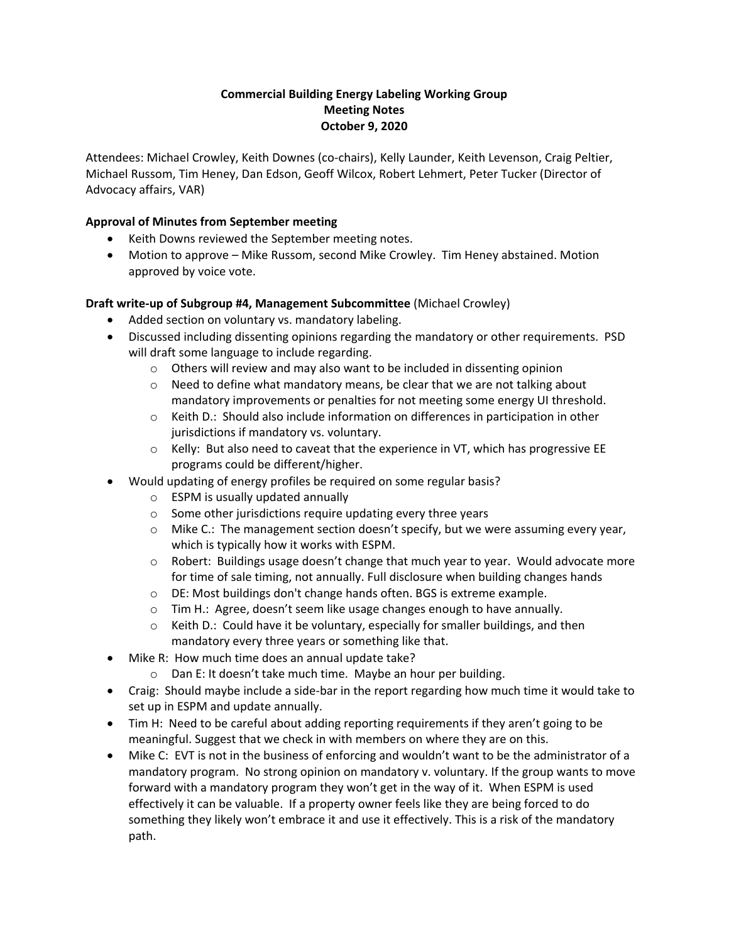# **Commercial Building Energy Labeling Working Group Meeting Notes October 9, 2020**

Attendees: Michael Crowley, Keith Downes (co-chairs), Kelly Launder, Keith Levenson, Craig Peltier, Michael Russom, Tim Heney, Dan Edson, Geoff Wilcox, Robert Lehmert, Peter Tucker (Director of Advocacy affairs, VAR)

# **Approval of Minutes from September meeting**

- Keith Downs reviewed the September meeting notes.
- Motion to approve Mike Russom, second Mike Crowley. Tim Heney abstained. Motion approved by voice vote.

### **Draft write-up of Subgroup #4, Management Subcommittee** (Michael Crowley)

- Added section on voluntary vs. mandatory labeling.
- Discussed including dissenting opinions regarding the mandatory or other requirements. PSD will draft some language to include regarding.
	- o Others will review and may also want to be included in dissenting opinion
	- $\circ$  Need to define what mandatory means, be clear that we are not talking about mandatory improvements or penalties for not meeting some energy UI threshold.
	- o Keith D.: Should also include information on differences in participation in other jurisdictions if mandatory vs. voluntary.
	- $\circ$  Kelly: But also need to caveat that the experience in VT, which has progressive EE programs could be different/higher.
- Would updating of energy profiles be required on some regular basis?
	- o ESPM is usually updated annually
	- o Some other jurisdictions require updating every three years
	- $\circ$  Mike C.: The management section doesn't specify, but we were assuming every year, which is typically how it works with ESPM.
	- $\circ$  Robert: Buildings usage doesn't change that much year to year. Would advocate more for time of sale timing, not annually. Full disclosure when building changes hands
	- $\circ$  DE: Most buildings don't change hands often. BGS is extreme example.
	- o Tim H.: Agree, doesn't seem like usage changes enough to have annually.
	- $\circ$  Keith D.: Could have it be voluntary, especially for smaller buildings, and then mandatory every three years or something like that.
- Mike R: How much time does an annual update take?
	- o Dan E: It doesn't take much time. Maybe an hour per building.
- Craig: Should maybe include a side-bar in the report regarding how much time it would take to set up in ESPM and update annually.
- Tim H: Need to be careful about adding reporting requirements if they aren't going to be meaningful. Suggest that we check in with members on where they are on this.
- Mike C: EVT is not in the business of enforcing and wouldn't want to be the administrator of a mandatory program. No strong opinion on mandatory v. voluntary. If the group wants to move forward with a mandatory program they won't get in the way of it. When ESPM is used effectively it can be valuable. If a property owner feels like they are being forced to do something they likely won't embrace it and use it effectively. This is a risk of the mandatory path.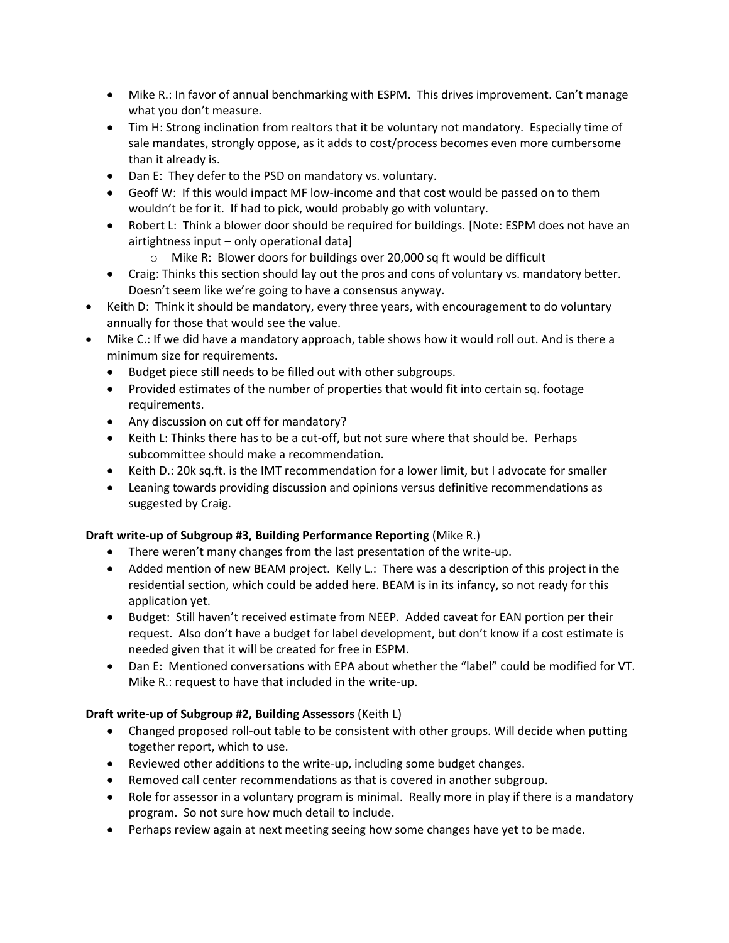- Mike R.: In favor of annual benchmarking with ESPM. This drives improvement. Can't manage what you don't measure.
- Tim H: Strong inclination from realtors that it be voluntary not mandatory. Especially time of sale mandates, strongly oppose, as it adds to cost/process becomes even more cumbersome than it already is.
- Dan E: They defer to the PSD on mandatory vs. voluntary.
- Geoff W: If this would impact MF low-income and that cost would be passed on to them wouldn't be for it. If had to pick, would probably go with voluntary.
- Robert L: Think a blower door should be required for buildings. [Note: ESPM does not have an airtightness input – only operational data]
	- o Mike R: Blower doors for buildings over 20,000 sq ft would be difficult
- Craig: Thinks this section should lay out the pros and cons of voluntary vs. mandatory better. Doesn't seem like we're going to have a consensus anyway.
- Keith D: Think it should be mandatory, every three years, with encouragement to do voluntary annually for those that would see the value.
- Mike C.: If we did have a mandatory approach, table shows how it would roll out. And is there a minimum size for requirements.
	- Budget piece still needs to be filled out with other subgroups.
	- Provided estimates of the number of properties that would fit into certain sq. footage requirements.
	- Any discussion on cut off for mandatory?
	- Keith L: Thinks there has to be a cut-off, but not sure where that should be.Perhaps subcommittee should make a recommendation.
	- Keith D.: 20k sq.ft. is the IMT recommendation for a lower limit, but I advocate for smaller
	- Leaning towards providing discussion and opinions versus definitive recommendations as suggested by Craig.

#### **Draft write-up of Subgroup #3, Building Performance Reporting** (Mike R.)

- There weren't many changes from the last presentation of the write-up.
- Added mention of new BEAM project. Kelly L.: There was a description of this project in the residential section, which could be added here. BEAM is in its infancy, so not ready for this application yet.
- Budget: Still haven't received estimate from NEEP. Added caveat for EAN portion per their request. Also don't have a budget for label development, but don't know if a cost estimate is needed given that it will be created for free in ESPM.
- Dan E: Mentioned conversations with EPA about whether the "label" could be modified for VT. Mike R.: request to have that included in the write-up.

# **Draft write-up of Subgroup #2, Building Assessors** (Keith L)

- Changed proposed roll-out table to be consistent with other groups. Will decide when putting together report, which to use.
- Reviewed other additions to the write-up, including some budget changes.
- Removed call center recommendations as that is covered in another subgroup.
- Role for assessor in a voluntary program is minimal. Really more in play if there is a mandatory program. So not sure how much detail to include.
- Perhaps review again at next meeting seeing how some changes have yet to be made.